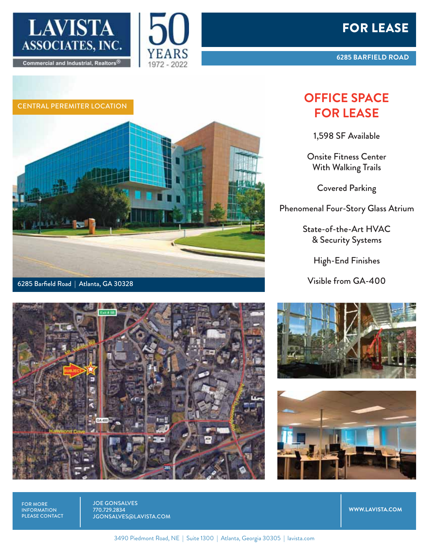

**6285 BARFIELD ROAD**





## CENTRAL PEREMITER LOCATION





## **OFFICE SPACE FOR LEASE**

1,598 SF Available

Onsite Fitness Center With Walking Trails

Covered Parking

Phenomenal Four-Story Glass Atrium

State-of-the-Art HVAC & Security Systems

High-End Finishes

Visible from GA-400





FOR MORE INFORMATION PLEASE CONTACT JOE GONSALVES 770.729.2834 JGONSALVES@LAVISTA.COM

**WWW.LAVISTA.COM**